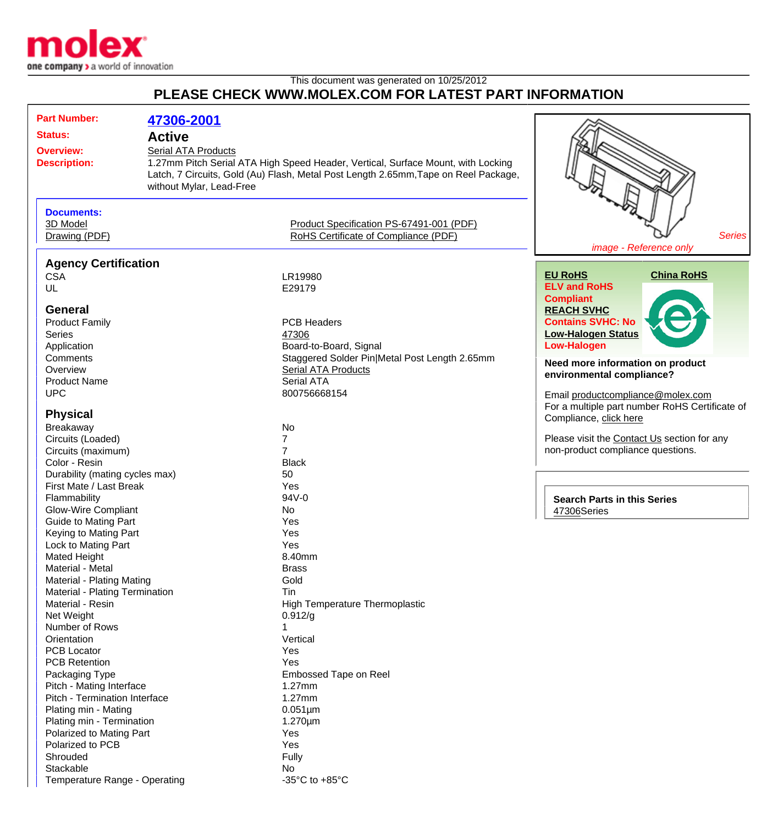

## This document was generated on 10/25/2012 **PLEASE CHECK WWW.MOLEX.COM FOR LATEST PART INFORMATION**

| <b>Part Number:</b>                                                                                                                  | 47306-2001 |                                                                                                                                                                         |                                                                                     |
|--------------------------------------------------------------------------------------------------------------------------------------|------------|-------------------------------------------------------------------------------------------------------------------------------------------------------------------------|-------------------------------------------------------------------------------------|
| <b>Status:</b><br><b>Active</b><br><b>Serial ATA Products</b><br><b>Overview:</b><br><b>Description:</b><br>without Mylar, Lead-Free |            |                                                                                                                                                                         |                                                                                     |
|                                                                                                                                      |            | 1.27mm Pitch Serial ATA High Speed Header, Vertical, Surface Mount, with Locking<br>Latch, 7 Circuits, Gold (Au) Flash, Metal Post Length 2.65mm, Tape on Reel Package, |                                                                                     |
| <b>Documents:</b>                                                                                                                    |            |                                                                                                                                                                         |                                                                                     |
| 3D Model                                                                                                                             |            | Product Specification PS-67491-001 (PDF)                                                                                                                                |                                                                                     |
| Drawing (PDF)                                                                                                                        |            | RoHS Certificate of Compliance (PDF)                                                                                                                                    | <b>Series</b><br>image - Reference only                                             |
| <b>Agency Certification</b>                                                                                                          |            |                                                                                                                                                                         |                                                                                     |
| <b>CSA</b>                                                                                                                           |            | LR19980                                                                                                                                                                 | <b>China RoHS</b><br><b>EU RoHS</b>                                                 |
| UL                                                                                                                                   |            | E29179                                                                                                                                                                  | <b>ELV and RoHS</b>                                                                 |
|                                                                                                                                      |            |                                                                                                                                                                         | <b>Compliant</b>                                                                    |
| <b>General</b>                                                                                                                       |            |                                                                                                                                                                         | <b>REACH SVHC</b>                                                                   |
| <b>Product Family</b>                                                                                                                |            | <b>PCB Headers</b>                                                                                                                                                      | <b>Contains SVHC: No</b>                                                            |
| <b>Series</b>                                                                                                                        |            | 47306                                                                                                                                                                   | <b>Low-Halogen Status</b>                                                           |
| Application                                                                                                                          |            | Board-to-Board, Signal                                                                                                                                                  | <b>Low-Halogen</b>                                                                  |
| Comments                                                                                                                             |            | Staggered Solder Pin Metal Post Length 2.65mm                                                                                                                           | Need more information on product                                                    |
| Overview                                                                                                                             |            | <b>Serial ATA Products</b>                                                                                                                                              | environmental compliance?                                                           |
| <b>Product Name</b>                                                                                                                  |            | <b>Serial ATA</b>                                                                                                                                                       |                                                                                     |
| <b>UPC</b>                                                                                                                           |            | 800756668154                                                                                                                                                            | Email productcompliance@molex.com<br>For a multiple part number RoHS Certificate of |
| <b>Physical</b>                                                                                                                      |            |                                                                                                                                                                         | Compliance, click here                                                              |
| Breakaway                                                                                                                            |            | No                                                                                                                                                                      |                                                                                     |
| Circuits (Loaded)                                                                                                                    |            | 7                                                                                                                                                                       | Please visit the Contact Us section for any                                         |
| Circuits (maximum)                                                                                                                   |            | $\overline{7}$                                                                                                                                                          | non-product compliance questions.                                                   |
| Color - Resin                                                                                                                        |            | <b>Black</b>                                                                                                                                                            |                                                                                     |
| Durability (mating cycles max)                                                                                                       |            | 50                                                                                                                                                                      |                                                                                     |
| First Mate / Last Break                                                                                                              |            | Yes                                                                                                                                                                     |                                                                                     |
| Flammability                                                                                                                         |            | 94V-0                                                                                                                                                                   | <b>Search Parts in this Series</b>                                                  |
| <b>Glow-Wire Compliant</b>                                                                                                           |            | No                                                                                                                                                                      | 47306Series                                                                         |
| <b>Guide to Mating Part</b>                                                                                                          |            | Yes                                                                                                                                                                     |                                                                                     |
| Keying to Mating Part                                                                                                                |            | Yes                                                                                                                                                                     |                                                                                     |
| Lock to Mating Part                                                                                                                  |            | Yes                                                                                                                                                                     |                                                                                     |
| <b>Mated Height</b>                                                                                                                  |            | 8.40mm                                                                                                                                                                  |                                                                                     |
| Material - Metal                                                                                                                     |            | <b>Brass</b><br>Gold                                                                                                                                                    |                                                                                     |
| Material - Plating Mating<br><b>Material - Plating Termination</b>                                                                   |            | Tin                                                                                                                                                                     |                                                                                     |
| Material - Resin                                                                                                                     |            | <b>High Temperature Thermoplastic</b>                                                                                                                                   |                                                                                     |
| Net Weight                                                                                                                           |            | 0.912/g                                                                                                                                                                 |                                                                                     |
| Number of Rows                                                                                                                       |            |                                                                                                                                                                         |                                                                                     |
| Orientation                                                                                                                          |            | Vertical                                                                                                                                                                |                                                                                     |
| <b>PCB Locator</b>                                                                                                                   |            | Yes                                                                                                                                                                     |                                                                                     |
| <b>PCB Retention</b>                                                                                                                 |            | Yes                                                                                                                                                                     |                                                                                     |
| Packaging Type                                                                                                                       |            | Embossed Tape on Reel                                                                                                                                                   |                                                                                     |
| Pitch - Mating Interface                                                                                                             |            | $1.27$ mm                                                                                                                                                               |                                                                                     |
| Pitch - Termination Interface                                                                                                        |            | $1.27$ mm                                                                                                                                                               |                                                                                     |
| Plating min - Mating                                                                                                                 |            | $0.051 \mu m$                                                                                                                                                           |                                                                                     |
| Plating min - Termination                                                                                                            |            | $1.270 \mu m$                                                                                                                                                           |                                                                                     |
| Polarized to Mating Part                                                                                                             |            | Yes                                                                                                                                                                     |                                                                                     |
| Polarized to PCB                                                                                                                     |            | Yes                                                                                                                                                                     |                                                                                     |
| Shrouded                                                                                                                             |            | Fully                                                                                                                                                                   |                                                                                     |
| Stackable                                                                                                                            |            | No                                                                                                                                                                      |                                                                                     |
| Temperature Range - Operating                                                                                                        |            | -35 $^{\circ}$ C to +85 $^{\circ}$ C                                                                                                                                    |                                                                                     |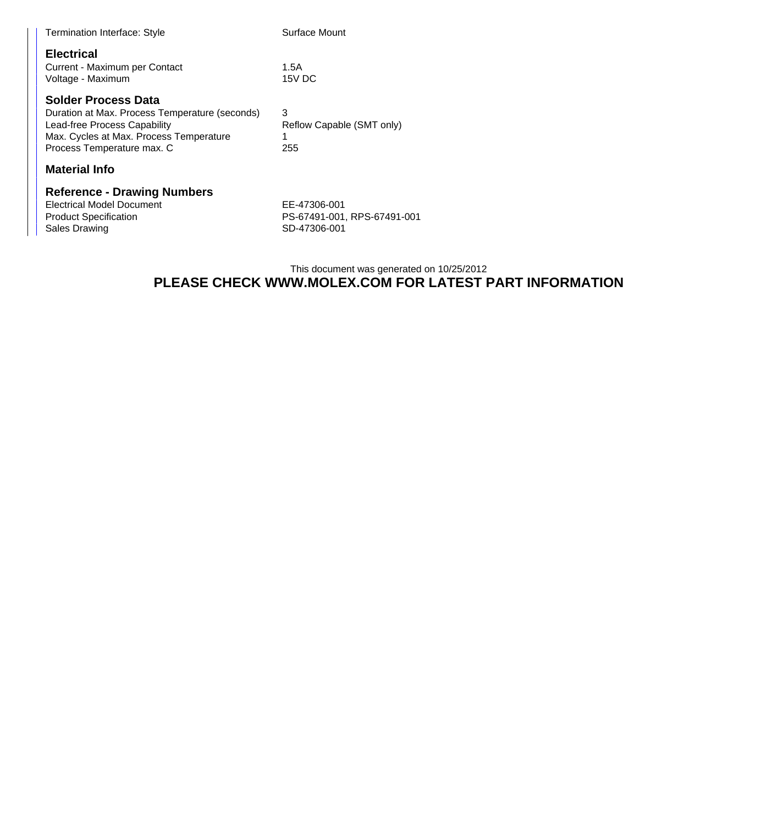| <b>Termination Interface: Style</b>                                                      |                                                                                           | Surface Mount                               |  |
|------------------------------------------------------------------------------------------|-------------------------------------------------------------------------------------------|---------------------------------------------|--|
| <b>Electrical</b><br>Current - Maximum per Contact<br>Voltage - Maximum                  |                                                                                           | 1.5A<br>15V DC                              |  |
| <b>Solder Process Data</b><br>Lead-free Process Capability<br>Process Temperature max. C | Duration at Max. Process Temperature (seconds)<br>Max. Cycles at Max. Process Temperature | 3<br>Reflow Capable (SMT only)<br>1<br>255  |  |
| <b>Material Info</b>                                                                     |                                                                                           |                                             |  |
| <b>Electrical Model Document</b><br><b>Product Specification</b>                         | <b>Reference - Drawing Numbers</b>                                                        | EE-47306-001<br>PS-67491-001, RPS-67491-001 |  |

Sales Drawing **SD-47306-001** 

## This document was generated on 10/25/2012 **PLEASE CHECK WWW.MOLEX.COM FOR LATEST PART INFORMATION**